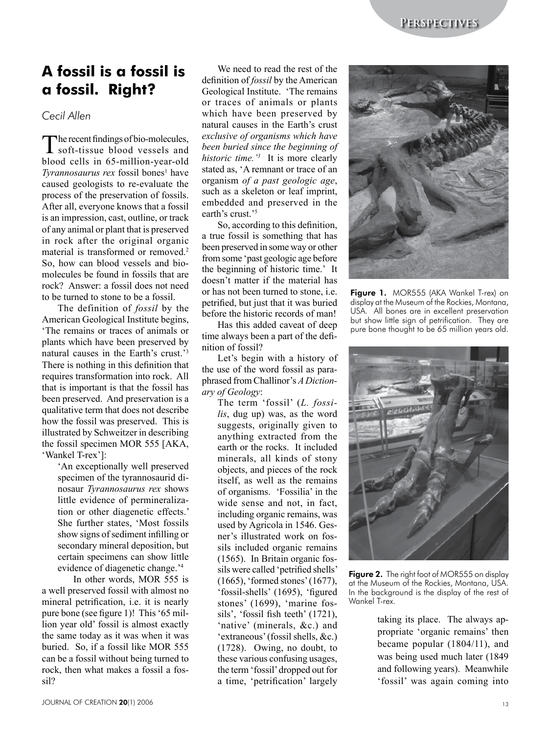## **A fossil is a fossil is a fossil. Right?**

*Cecil Allen*

The recent findings of bio-molecules,<br>soft-tissue blood vessels and blood cells in 65-million-year-old *Tyrannosaurus rex* fossil bones<sup>1</sup> have caused geologists to re-evaluate the process of the preservation of fossils. After all, everyone knows that a fossil is an impression, cast, outline, or track of any animal or plant that is preserved in rock after the original organic material is transformed or removed.<sup>2</sup> So, how can blood vessels and biomolecules be found in fossils that are rock? Answer: a fossil does not need to be turned to stone to be a fossil.

The definition of *fossil* by the American Geological Institute begins, 'The remains or traces of animals or plants which have been preserved by natural causes in the Earth's crust.'3 There is nothing in this definition that requires transformation into rock. All that is important is that the fossil has been preserved. And preservation is a qualitative term that does not describe how the fossil was preserved. This is illustrated by Schweitzer in describing the fossil specimen MOR 555 [AKA, 'Wankel T-rex']:

> 'An exceptionally well preserved specimen of the tyrannosaurid dinosaur *Tyrannosaurus rex* shows little evidence of permineralization or other diagenetic effects.' She further states, 'Most fossils show signs of sediment infilling or secondary mineral deposition, but certain specimens can show little evidence of diagenetic change.'4

In other words, MOR 555 is a well preserved fossil with almost no mineral petrification, i.e. it is nearly pure bone (see figure 1)! This '65 million year old' fossil is almost exactly the same today as it was when it was buried. So, if a fossil like MOR 555 can be a fossil without being turned to rock, then what makes a fossil a fossil?

We need to read the rest of the definition of *fossil* by the American Geological Institute. 'The remains or traces of animals or plants which have been preserved by natural causes in the Earth's crust *exclusive of organisms which have been buried since the beginning of historic time.'3* It is more clearly stated as, 'A remnant or trace of an organism *of a past geologic age*, such as a skeleton or leaf imprint, embedded and preserved in the earth's crust.'<sup>5</sup>

So, according to this definition, a true fossil is something that has been preserved in some way or other from some 'past geologic age before the beginning of historic time.' It doesn't matter if the material has or has not been turned to stone, i.e. petrified, but just that it was buried before the historic records of man!

Has this added caveat of deep time always been a part of the definition of fossil?

Let's begin with a history of the use of the word fossil as paraphrased from Challinor's *A Dictionary of Geology*:

The term 'fossil' (*L. fossilis*, dug up) was, as the word suggests, originally given to anything extracted from the earth or the rocks. It included minerals, all kinds of stony objects, and pieces of the rock itself, as well as the remains of organisms. 'Fossilia' in the wide sense and not, in fact, including organic remains, was used by Agricola in 1546. Gesner's illustrated work on fossils included organic remains (1565). In Britain organic fossils were called 'petrified shells' (1665), 'formed stones' (1677), 'fossil‑shells' (1695), 'figured stones' (1699), 'marine fossils', 'fossil fish teeth' (1721), 'native' (minerals, &c.) and 'extraneous' (fossil shells, &c.) (1728). Owing, no doubt, to these various confusing usages, the term 'fossil' dropped out for a time, 'petrification' largely



Figure 1. MOR555 (AKA Wankel T-rex) on display at the Museum of the Rockies, Montana, USA. All bones are in excellent preservation but show little sign of petrification. They are pure bone thought to be 65 million years old.



Figure 2. The right foot of MOR555 on display at the Museum of the Rockies, Montana, USA. In the background is the display of the rest of Wankel T-rex.

taking its place. The always appropriate 'organic remains' then became popular (1804/11), and was being used much later (1849 and following years). Meanwhile 'fossil' was again coming into